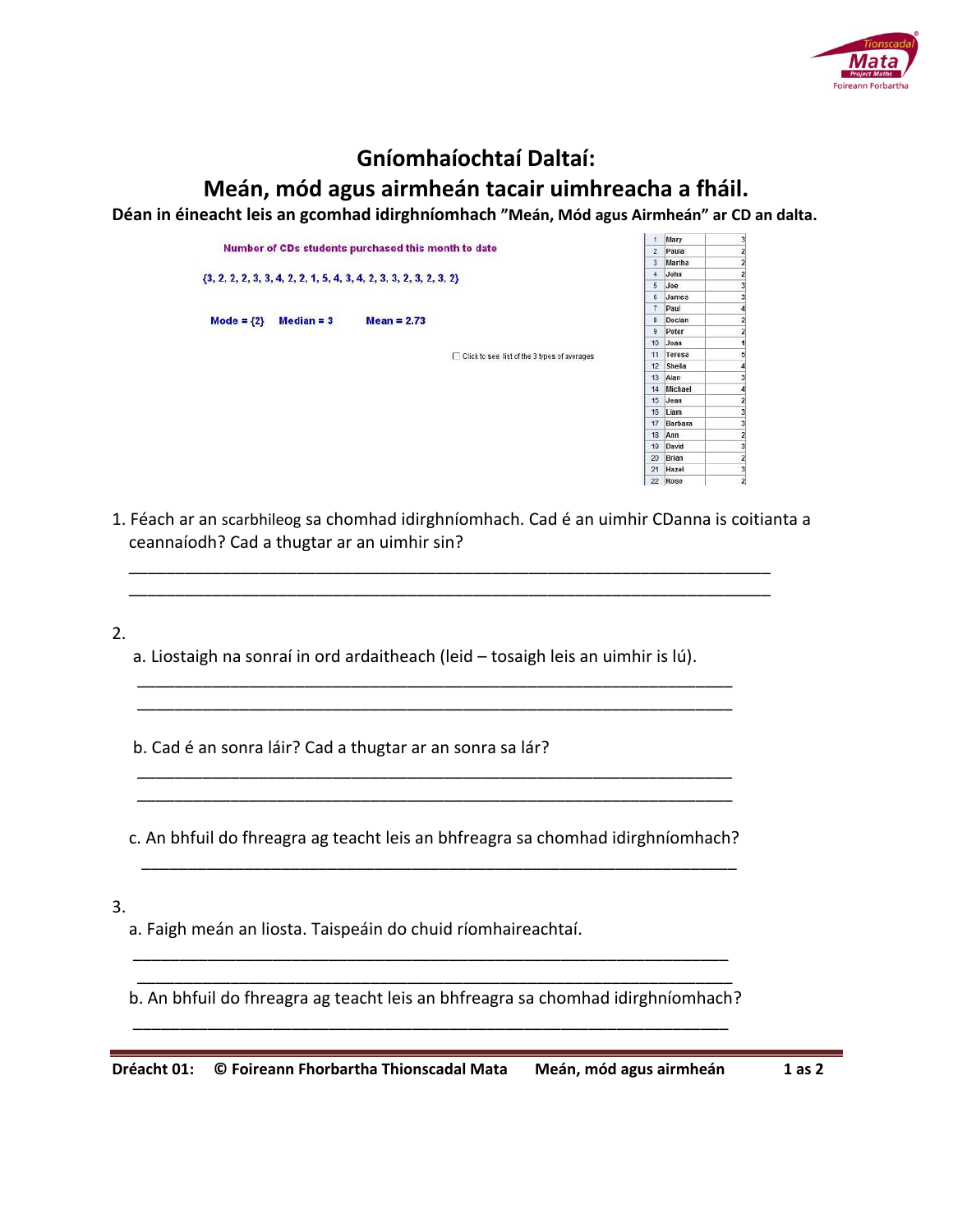

## **Gníomhaíochtaí Daltaí:**

**Meán, mód agus airmheán tacair uimhreacha a fháil.**

 $1 - 1$ 

**Déan in éineacht leis an gcomhad idirghníomhach "Meán, Mód agus Airmheán" ar CD an dalta.** 

|                                                     |                                                                        |              |               |                                                | Mary           |         |  |
|-----------------------------------------------------|------------------------------------------------------------------------|--------------|---------------|------------------------------------------------|----------------|---------|--|
| Number of CDs students purchased this month to date |                                                                        |              |               |                                                | $\overline{2}$ | Paula   |  |
|                                                     |                                                                        |              |               |                                                | $\overline{3}$ | Martha  |  |
|                                                     | $\{3, 2, 2, 2, 3, 3, 4, 2, 2, 1, 5, 4, 3, 4, 2, 3, 3, 2, 3, 2, 3, 2\}$ |              |               |                                                | $\ddot{a}$     | John    |  |
|                                                     |                                                                        |              |               |                                                | 5              | Joe     |  |
|                                                     |                                                                        |              |               |                                                | 6              | James   |  |
|                                                     |                                                                        |              |               |                                                | $\overline{7}$ | Paul    |  |
|                                                     | Mode = $\{2\}$                                                         | $Median = 3$ | $Mean = 2.73$ |                                                | 8              | Declan  |  |
|                                                     |                                                                        |              |               |                                                | 9              | Peter   |  |
|                                                     |                                                                        |              |               |                                                | 10             | Joan    |  |
|                                                     |                                                                        |              |               | □ Click to see list of the 3 types of averages | 11             | Teresa  |  |
|                                                     |                                                                        |              |               |                                                | 12             | Sheila  |  |
|                                                     |                                                                        |              |               |                                                | 13             | Alan    |  |
|                                                     |                                                                        |              |               |                                                | 14             | Michael |  |
|                                                     |                                                                        |              |               |                                                | 15             | Jean    |  |
|                                                     |                                                                        |              |               |                                                | 16             | Liam    |  |
|                                                     |                                                                        |              |               |                                                | 17             | Barbara |  |
|                                                     |                                                                        |              |               |                                                | 18             | Ann     |  |
|                                                     |                                                                        |              |               |                                                | 19             | David   |  |
|                                                     |                                                                        |              |               |                                                | 20             | Brian   |  |
|                                                     |                                                                        |              |               |                                                | 21             | Hazel   |  |

1. Féach ar an scarbhileog sa chomhad idirghníomhach. Cad é an uimhir CDanna is coitianta a ceannaíodh? Cad a thugtar ar an uimhir sin?

 \_\_\_\_\_\_\_\_\_\_\_\_\_\_\_\_\_\_\_\_\_\_\_\_\_\_\_\_\_\_\_\_\_\_\_\_\_\_\_\_\_\_\_\_\_\_\_\_\_\_\_\_\_\_\_\_\_\_\_\_\_\_\_\_\_\_\_\_\_ \_\_\_\_\_\_\_\_\_\_\_\_\_\_\_\_\_\_\_\_\_\_\_\_\_\_\_\_\_\_\_\_\_\_\_\_\_\_\_\_\_\_\_\_\_\_\_\_\_\_\_\_\_\_\_\_\_\_\_\_\_\_\_\_\_\_\_\_\_

2.

 a. Liostaigh na sonraí in ord ardaitheach (leid – tosaigh leis an uimhir is lú). \_\_\_\_\_\_\_\_\_\_\_\_\_\_\_\_\_\_\_\_\_\_\_\_\_\_\_\_\_\_\_\_\_\_\_\_\_\_\_\_\_\_\_\_\_\_\_\_\_\_\_\_\_\_\_\_\_\_\_\_\_\_\_\_

\_\_\_\_\_\_\_\_\_\_\_\_\_\_\_\_\_\_\_\_\_\_\_\_\_\_\_\_\_\_\_\_\_\_\_\_\_\_\_\_\_\_\_\_\_\_\_\_\_\_\_\_\_\_\_\_\_\_\_\_\_\_\_\_

 \_\_\_\_\_\_\_\_\_\_\_\_\_\_\_\_\_\_\_\_\_\_\_\_\_\_\_\_\_\_\_\_\_\_\_\_\_\_\_\_\_\_\_\_\_\_\_\_\_\_\_\_\_\_\_\_\_\_\_\_\_\_\_\_ \_\_\_\_\_\_\_\_\_\_\_\_\_\_\_\_\_\_\_\_\_\_\_\_\_\_\_\_\_\_\_\_\_\_\_\_\_\_\_\_\_\_\_\_\_\_\_\_\_\_\_\_\_\_\_\_\_\_\_\_\_\_\_\_

b. Cad é an sonra láir? Cad a thugtar ar an sonra sa lár?

c. An bhfuil do fhreagra ag teacht leis an bhfreagra sa chomhad idirghníomhach?

\_\_\_\_\_\_\_\_\_\_\_\_\_\_\_\_\_\_\_\_\_\_\_\_\_\_\_\_\_\_\_\_\_\_\_\_\_\_\_\_\_\_\_\_\_\_\_\_\_\_\_\_\_\_\_\_\_\_\_\_\_\_\_\_

 \_\_\_\_\_\_\_\_\_\_\_\_\_\_\_\_\_\_\_\_\_\_\_\_\_\_\_\_\_\_\_\_\_\_\_\_\_\_\_\_\_\_\_\_\_\_\_\_\_\_\_\_\_\_\_\_\_\_\_\_\_\_\_\_ \_\_\_\_\_\_\_\_\_\_\_\_\_\_\_\_\_\_\_\_\_\_\_\_\_\_\_\_\_\_\_\_\_\_\_\_\_\_\_\_\_\_\_\_\_\_\_\_\_\_\_\_\_\_\_\_\_\_\_\_\_\_\_\_

\_\_\_\_\_\_\_\_\_\_\_\_\_\_\_\_\_\_\_\_\_\_\_\_\_\_\_\_\_\_\_\_\_\_\_\_\_\_\_\_\_\_\_\_\_\_\_\_\_\_\_\_\_\_\_\_\_\_\_\_\_\_\_\_

3.

a. Faigh meán an liosta. Taispeáin do chuid ríomhaireachtaí.

b. An bhfuil do fhreagra ag teacht leis an bhfreagra sa chomhad idirghníomhach?

**Dréacht 01: © Foireann Fhorbartha Thionscadal Mata Meán, mód agus airmheán 1 as 2**